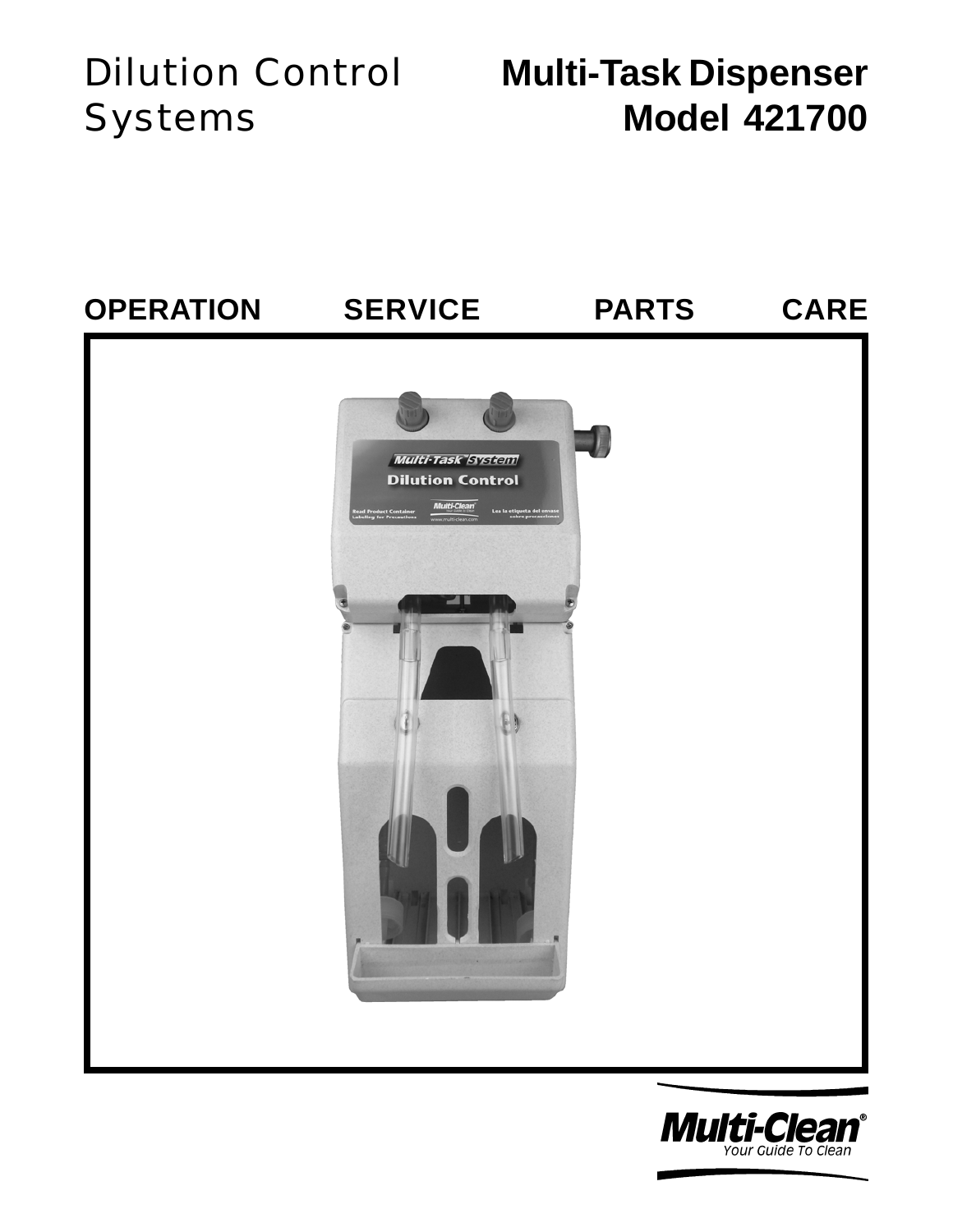# Systems

## Dilution Control **Multi-Task Dispenser Model 421700**



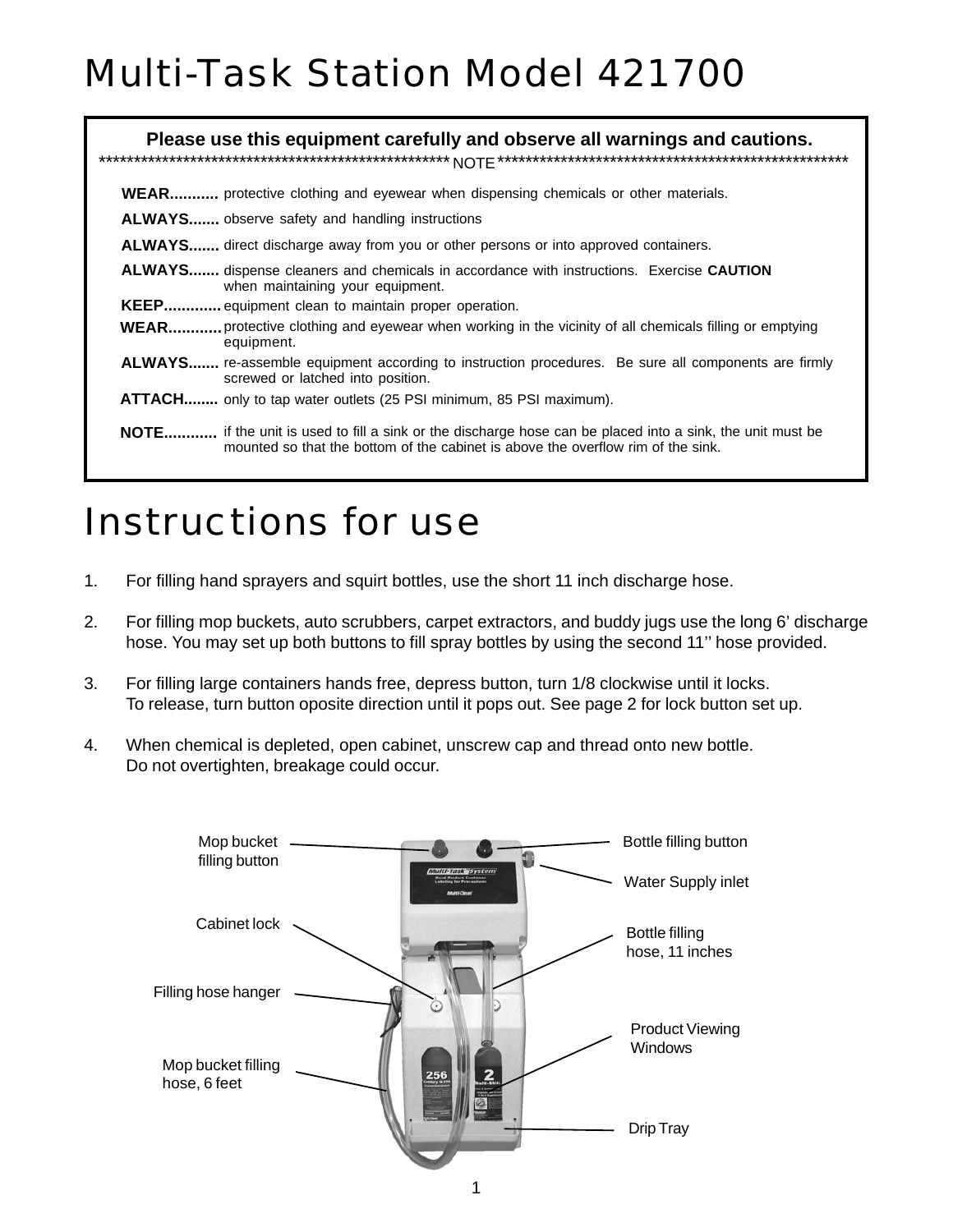# Multi-Task Station Model 421700

|  | Please use this equipment carefully and observe all warnings and cautions.                                                                                                                    |
|--|-----------------------------------------------------------------------------------------------------------------------------------------------------------------------------------------------|
|  | <b>WEAR</b> protective clothing and eyewear when dispensing chemicals or other materials.                                                                                                     |
|  | <b>ALWAYS</b> observe safety and handling instructions                                                                                                                                        |
|  | <b>ALWAYS</b> direct discharge away from you or other persons or into approved containers.                                                                                                    |
|  | <b>ALWAYS</b> dispense cleaners and chemicals in accordance with instructions. Exercise <b>CAUTION</b><br>when maintaining your equipment.                                                    |
|  | KEEP equipment clean to maintain proper operation.                                                                                                                                            |
|  | <b>WEAR</b> protective clothing and eyewear when working in the vicinity of all chemicals filling or emptying<br>equipment.                                                                   |
|  | <b>ALWAYS</b> re-assemble equipment according to instruction procedures. Be sure all components are firmly<br>screwed or latched into position.                                               |
|  | <b>ATTACH</b> only to tap water outlets (25 PSI minimum, 85 PSI maximum).                                                                                                                     |
|  | NOTE if the unit is used to fill a sink or the discharge hose can be placed into a sink, the unit must be<br>mounted so that the bottom of the cabinet is above the overflow rim of the sink. |

#### Instructions for use

- 1. For filling hand sprayers and squirt bottles, use the short 11 inch discharge hose.
- 2. For filling mop buckets, auto scrubbers, carpet extractors, and buddy jugs use the long 6' discharge hose. You may set up both buttons to fill spray bottles by using the second 11'' hose provided.
- 3. For filling large containers hands free, depress button, turn 1/8 clockwise until it locks. To release, turn button oposite direction until it pops out. See page 2 for lock button set up.
- 4. When chemical is depleted, open cabinet, unscrew cap and thread onto new bottle. Do not overtighten, breakage could occur.

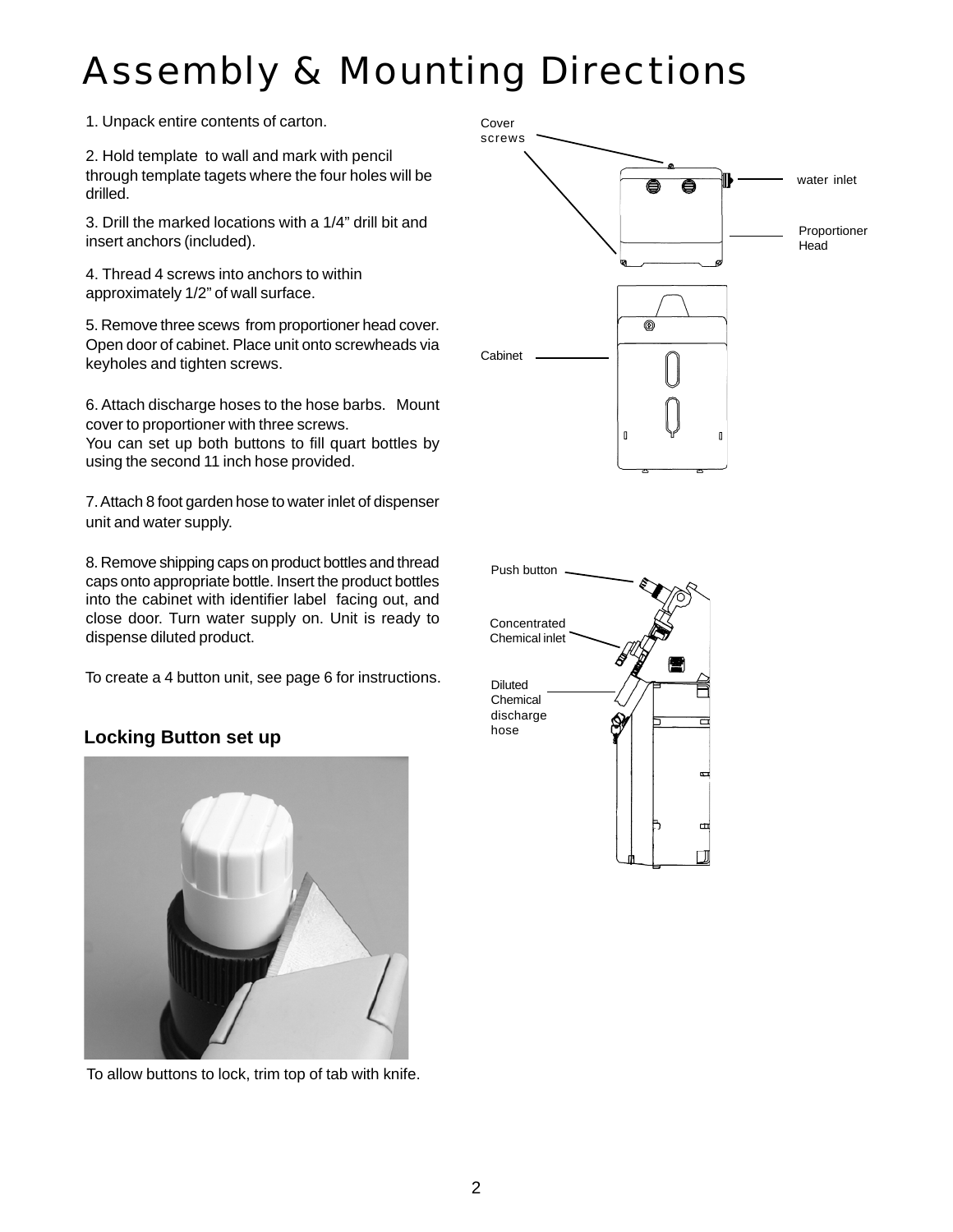# Assembly & Mounting Directions

1. Unpack entire contents of carton. Cover

2. Hold template to wall and mark with pencil through template tagets where the four holes will be drilled.

3. Drill the marked locations with a 1/4" drill bit and insert anchors (included).

4. Thread 4 screws into anchors to within approximately 1/2" of wall surface.

5. Remove three scews from proportioner head cover. Open door of cabinet. Place unit onto screwheads via keyholes and tighten screws.

6. Attach discharge hoses to the hose barbs. Mount cover to proportioner with three screws.

You can set up both buttons to fill quart bottles by using the second 11 inch hose provided.

7. Attach 8 foot garden hose to water inlet of dispenser unit and water supply.

8. Remove shipping caps on product bottles and thread caps onto appropriate bottle. Insert the product bottles into the cabinet with identifier label facing out, and close door. Turn water supply on. Unit is ready to dispense diluted product.

To create a 4 button unit, see page 6 for instructions.

#### **Locking Button set up**



To allow buttons to lock, trim top of tab with knife.



 $\sigma$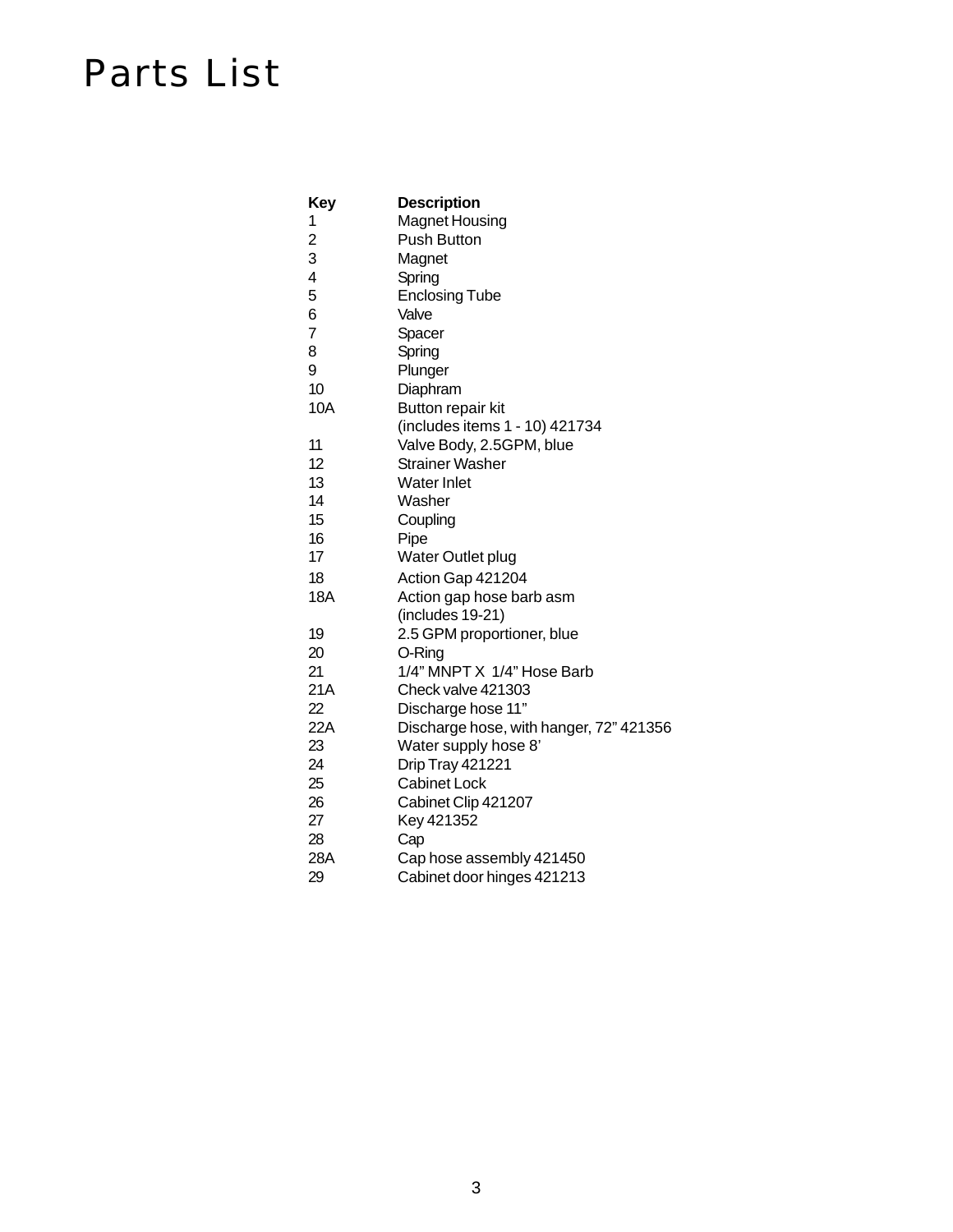### Parts List

| Key                     | <b>Description</b>                      |
|-------------------------|-----------------------------------------|
| 1                       | <b>Magnet Housing</b>                   |
| $\overline{\mathbf{c}}$ | Push Button                             |
| 3                       | Magnet                                  |
| 4                       | Spring                                  |
| 5                       | <b>Enclosing Tube</b>                   |
| 6                       | Valve                                   |
| $\overline{7}$          | Spacer                                  |
| 8                       | Spring                                  |
| 9                       | Plunger                                 |
| 10                      | Diaphram                                |
| 10A                     | Button repair kit                       |
|                         | (includes items 1 - 10) 421734          |
| 11                      | Valve Body, 2.5GPM, blue                |
| 12                      | <b>Strainer Washer</b>                  |
| 13                      | <b>Water Inlet</b>                      |
| 14                      | Washer                                  |
| 15                      | Coupling                                |
| 16                      | Pipe                                    |
| 17                      | Water Outlet plug                       |
| 18                      | Action Gap 421204                       |
| <b>18A</b>              | Action gap hose barb asm                |
|                         | (includes 19-21)                        |
| 19                      | 2.5 GPM proportioner, blue              |
| 20                      | O-Ring                                  |
| 21                      | 1/4" MNPT X 1/4" Hose Barb              |
| 21A                     | Check valve 421303                      |
| 22                      | Discharge hose 11"                      |
| 22A                     | Discharge hose, with hanger, 72" 421356 |
| 23                      | Water supply hose 8'                    |
| 24                      | Drip Tray 421221                        |
| 25                      | <b>Cabinet Lock</b>                     |
| 26                      | Cabinet Clip 421207                     |
| 27                      | Key 421352                              |
| 28                      | Cap                                     |
| 28A                     | Cap hose assembly 421450                |

29 Cabinet door hinges 421213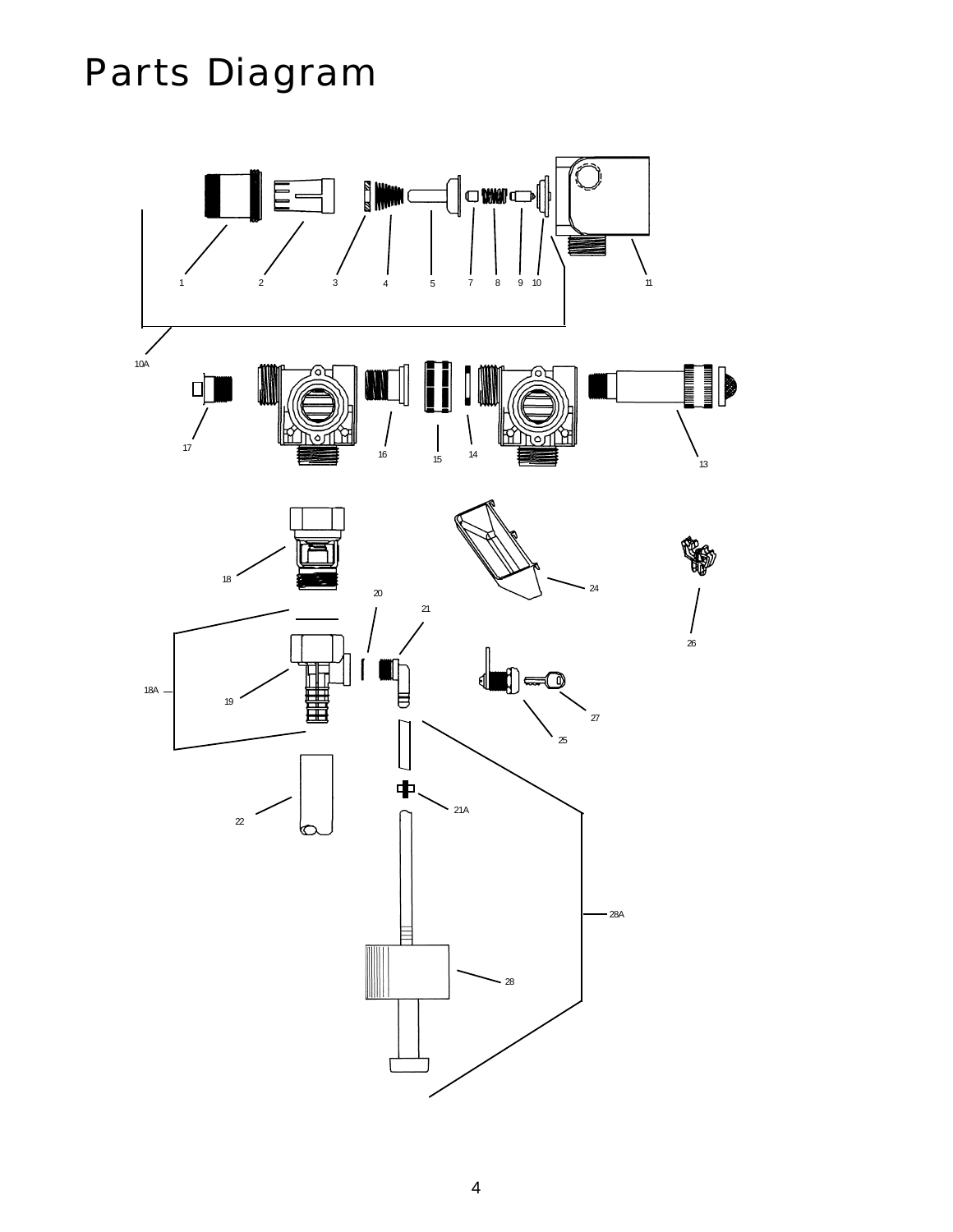# Parts Diagram

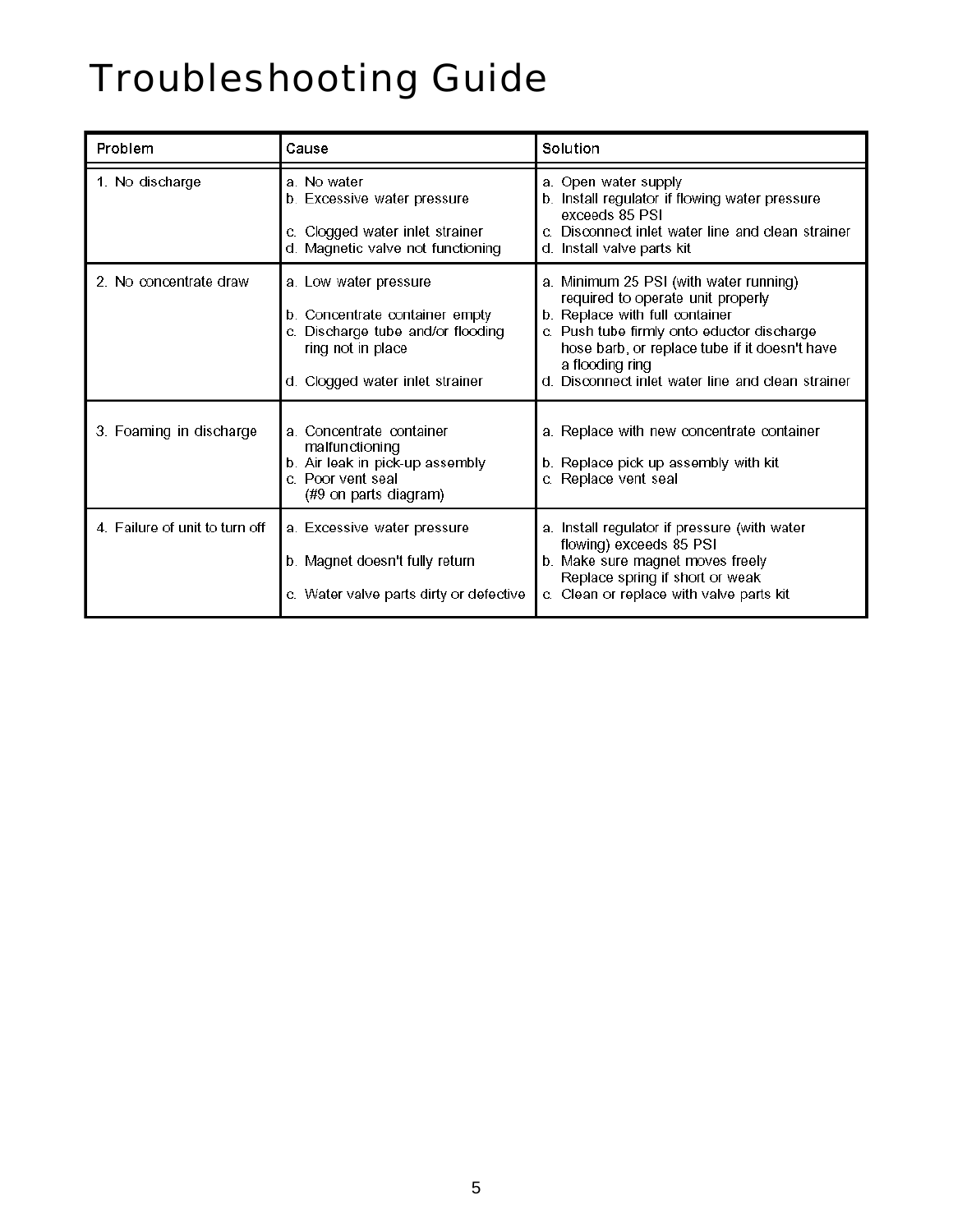# Troubleshooting Guide

| Problem                        | Cause                                                                                                                                             | Solution                                                                                                                                                                                                                                                                             |
|--------------------------------|---------------------------------------------------------------------------------------------------------------------------------------------------|--------------------------------------------------------------------------------------------------------------------------------------------------------------------------------------------------------------------------------------------------------------------------------------|
| 1. No discharge                | a. No water<br>b. Excessive water pressure<br>c. Clogged water inlet strainer<br>d. Magnetic valve not functioning                                | a. Open water supply<br>b. Install regulator if flowing water pressure<br>exceeds 85 PSI<br>c. Disconnect inlet water line and clean strainer<br>d. Install valve parts kit                                                                                                          |
| 2. No concentrate draw         | a. Low water pressure<br>b. Concentrate container empty<br>Discharge tube and/or flooding<br>ring not in place<br>d. Clogged water inlet strainer | a. Minimum 25 PSI (with water running)<br>required to operate unit properly<br>b. Replace with full container<br>c. Push tube firmly onto eductor discharge<br>hose barb, or replace tube if it doesn't have<br>a flooding ring<br>d. Disconnect inlet water line and clean strainer |
| 3. Foaming in discharge        | a. Concentrate container<br>malfunctioning<br>b. Air leak in pick-up assembly<br>c. Poor vent seal<br>(#9 on parts diagram)                       | a. Replace with new concentrate container<br>b. Replace pick up assembly with kit<br>c. Replace vent seal                                                                                                                                                                            |
| 4. Failure of unit to turn off | a. Excessive water pressure<br>b. Magnet doesn't fully return<br>c. Water valve parts dirty or defective                                          | a. Install regulator if pressure (with water<br>flowing) exceeds 85 PSI<br>b. Make sure magnet moves freely<br>Replace spring if short or weak<br>c. Clean or replace with valve parts kit                                                                                           |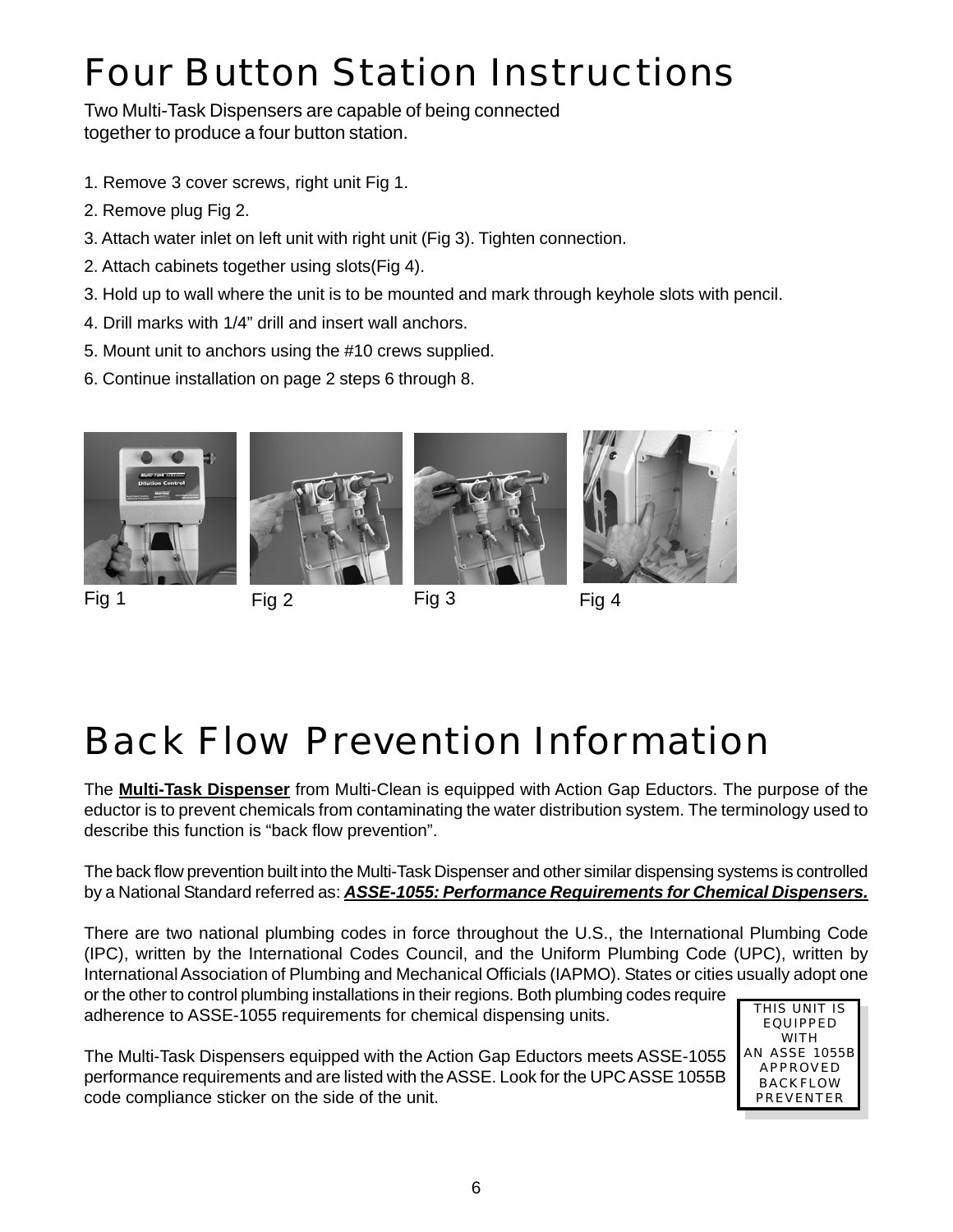# Four Button Station Instructions

Two Multi-Task Dispensers are capable of being connected together to produce a four button station.

- 1. Remove 3 cover screws, right unit Fig 1.
- 2. Remove plug Fig 2.
- 3. Attach water inlet on left unit with right unit (Fig 3). Tighten connection.
- 2. Attach cabinets together using slots(Fig 4).
- 3. Hold up to wall where the unit is to be mounted and mark through keyhole slots with pencil.
- 4. Drill marks with 1/4" drill and insert wall anchors.
- 5. Mount unit to anchors using the #10 crews supplied.
- 6. Continue installation on page 2 steps 6 through 8.



Fig 1 Fig 2







Fig 3 Fig 4

# Back Flow Prevention Information

The **Multi-Task Dispenser** from Multi-Clean is equipped with Action Gap Eductors. The purpose of the eductor is to prevent chemicals from contaminating the water distribution system. The terminology used to describe this function is "back flow prevention".

The back flow prevention built into the Multi-Task Dispenser and other similar dispensing systems is controlled by a National Standard referred as: *ASSE-1055: Performance Requirements for Chemical Dispensers.*

There are two national plumbing codes in force throughout the U.S., the International Plumbing Code (IPC), written by the International Codes Council, and the Uniform Plumbing Code (UPC), written by International Association of Plumbing and Mechanical Officials (IAPMO). States or cities usually adopt one or the other to control plumbing installations in their regions. Both plumbing codes require

adherence to ASSE-1055 requirements for chemical dispensing units.

The Multi-Task Dispensers equipped with the Action Gap Eductors meets ASSE-1055 performance requirements and are listed with the ASSE. Look for the UPC ASSE 1055B code compliance sticker on the side of the unit.